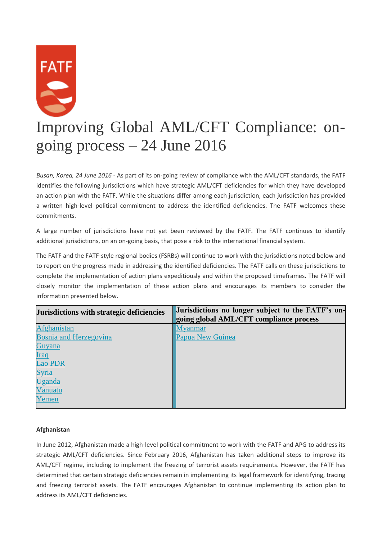# **FATF** Improving Global AML/CFT Compliance: ongoing process – 24 June 2016

*Busan, Korea, 24 June 2016* - As part of its on-going review of compliance with the AML/CFT standards, the FATF identifies the following jurisdictions which have strategic AML/CFT deficiencies for which they have developed an action plan with the FATF. While the situations differ among each jurisdiction, each jurisdiction has provided a written high-level political commitment to address the identified deficiencies. The FATF welcomes these commitments.

A large number of jurisdictions have not yet been reviewed by the FATF. The FATF continues to identify additional jurisdictions, on an on-going basis, that pose a risk to the international financial system.

The FATF and the FATF-style regional bodies (FSRBs) will continue to work with the jurisdictions noted below and to report on the progress made in addressing the identified deficiencies. The FATF calls on these jurisdictions to complete the implementation of action plans expeditiously and within the proposed timeframes. The FATF will closely monitor the implementation of these action plans and encourages its members to consider the information presented below.

| Jurisdictions with strategic deficiencies | Jurisdictions no longer subject to the FATF's on-<br>going global AML/CFT compliance process |
|-------------------------------------------|----------------------------------------------------------------------------------------------|
| <b>Afghanistan</b>                        | <b>M</b> vanmar                                                                              |
| <b>Bosnia and Herzegovina</b>             | Papua New Guinea                                                                             |
| Guyana                                    |                                                                                              |
| <b>Iraq</b>                               |                                                                                              |
| <b>Lao PDR</b>                            |                                                                                              |
| <b>Syria</b>                              |                                                                                              |
| Uganda                                    |                                                                                              |
| Vanuatu                                   |                                                                                              |
| Yemen                                     |                                                                                              |
|                                           |                                                                                              |

## **Afghanistan**

In June 2012, Afghanistan made a high-level political commitment to work with the FATF and APG to address its strategic AML/CFT deficiencies. Since February 2016, Afghanistan has taken additional steps to improve its AML/CFT regime, including to implement the freezing of terrorist assets requirements. However, the FATF has determined that certain strategic deficiencies remain in implementing its legal framework for identifying, tracing and freezing terrorist assets. The FATF encourages Afghanistan to continue implementing its action plan to address its AML/CFT deficiencies.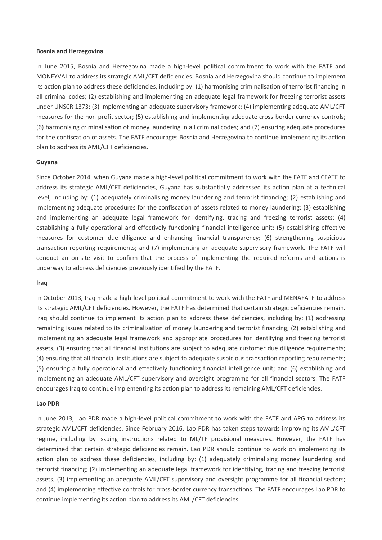#### **Bosnia and Herzegovina**

In June 2015, Bosnia and Herzegovina made a high-level political commitment to work with the FATF and MONEYVAL to address its strategic AML/CFT deficiencies. Bosnia and Herzegovina should continue to implement its action plan to address these deficiencies, including by: (1) harmonising criminalisation of terrorist financing in all criminal codes; (2) establishing and implementing an adequate legal framework for freezing terrorist assets under UNSCR 1373; (3) implementing an adequate supervisory framework; (4) implementing adequate AML/CFT measures for the non-profit sector; (5) establishing and implementing adequate cross-border currency controls; (6) harmonising criminalisation of money laundering in all criminal codes; and (7) ensuring adequate procedures for the confiscation of assets. The FATF encourages Bosnia and Herzegovina to continue implementing its action plan to address its AML/CFT deficiencies.

#### **Guyana**

Since October 2014, when Guyana made a high-level political commitment to work with the FATF and CFATF to address its strategic AML/CFT deficiencies, Guyana has substantially addressed its action plan at a technical level, including by: (1) adequately criminalising money laundering and terrorist financing; (2) establishing and implementing adequate procedures for the confiscation of assets related to money laundering; (3) establishing and implementing an adequate legal framework for identifying, tracing and freezing terrorist assets; (4) establishing a fully operational and effectively functioning financial intelligence unit; (5) establishing effective measures for customer due diligence and enhancing financial transparency; (6) strengthening suspicious transaction reporting requirements; and (7) implementing an adequate supervisory framework. The FATF will conduct an on-site visit to confirm that the process of implementing the required reforms and actions is underway to address deficiencies previously identified by the FATF.

#### **Iraq**

In October 2013, Iraq made a high-level political commitment to work with the FATF and MENAFATF to address its strategic AML/CFT deficiencies. However, the FATF has determined that certain strategic deficiencies remain. Iraq should continue to implement its action plan to address these deficiencies, including by: (1) addressing remaining issues related to its criminalisation of money laundering and terrorist financing; (2) establishing and implementing an adequate legal framework and appropriate procedures for identifying and freezing terrorist assets; (3) ensuring that all financial institutions are subject to adequate customer due diligence requirements; (4) ensuring that all financial institutions are subject to adequate suspicious transaction reporting requirements; (5) ensuring a fully operational and effectively functioning financial intelligence unit; and (6) establishing and implementing an adequate AML/CFT supervisory and oversight programme for all financial sectors. The FATF encourages Iraq to continue implementing its action plan to address its remaining AML/CFT deficiencies.

#### **Lao PDR**

In June 2013, Lao PDR made a high-level political commitment to work with the FATF and APG to address its strategic AML/CFT deficiencies. Since February 2016, Lao PDR has taken steps towards improving its AML/CFT regime, including by issuing instructions related to ML/TF provisional measures. However, the FATF has determined that certain strategic deficiencies remain. Lao PDR should continue to work on implementing its action plan to address these deficiencies, including by: (1) adequately criminalising money laundering and terrorist financing; (2) implementing an adequate legal framework for identifying, tracing and freezing terrorist assets; (3) implementing an adequate AML/CFT supervisory and oversight programme for all financial sectors; and (4) implementing effective controls for cross-border currency transactions. The FATF encourages Lao PDR to continue implementing its action plan to address its AML/CFT deficiencies.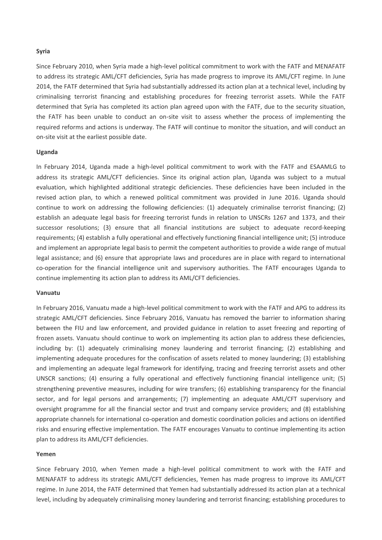#### **Syria**

Since February 2010, when Syria made a high-level political commitment to work with the FATF and MENAFATF to address its strategic AML/CFT deficiencies, Syria has made progress to improve its AML/CFT regime. In June 2014, the FATF determined that Syria had substantially addressed its action plan at a technical level, including by criminalising terrorist financing and establishing procedures for freezing terrorist assets. While the FATF determined that Syria has completed its action plan agreed upon with the FATF, due to the security situation, the FATF has been unable to conduct an on-site visit to assess whether the process of implementing the required reforms and actions is underway. The FATF will continue to monitor the situation, and will conduct an on-site visit at the earliest possible date.

#### **Uganda**

In February 2014, Uganda made a high-level political commitment to work with the FATF and ESAAMLG to address its strategic AML/CFT deficiencies. Since its original action plan, Uganda was subject to a mutual evaluation, which highlighted additional strategic deficiencies. These deficiencies have been included in the revised action plan, to which a renewed political commitment was provided in June 2016. Uganda should continue to work on addressing the following deficiencies: (1) adequately criminalise terrorist financing; (2) establish an adequate legal basis for freezing terrorist funds in relation to UNSCRs 1267 and 1373, and their successor resolutions; (3) ensure that all financial institutions are subject to adequate record-keeping requirements; (4) establish a fully operational and effectively functioning financial intelligence unit; (5) introduce and implement an appropriate legal basis to permit the competent authorities to provide a wide range of mutual legal assistance; and (6) ensure that appropriate laws and procedures are in place with regard to international co-operation for the financial intelligence unit and supervisory authorities. The FATF encourages Uganda to continue implementing its action plan to address its AML/CFT deficiencies.

#### **Vanuatu**

In February 2016, Vanuatu made a high-level political commitment to work with the FATF and APG to address its strategic AML/CFT deficiencies. Since February 2016, Vanuatu has removed the barrier to information sharing between the FIU and law enforcement, and provided guidance in relation to asset freezing and reporting of frozen assets. Vanuatu should continue to work on implementing its action plan to address these deficiencies, including by: (1) adequately criminalising money laundering and terrorist financing; (2) establishing and implementing adequate procedures for the confiscation of assets related to money laundering; (3) establishing and implementing an adequate legal framework for identifying, tracing and freezing terrorist assets and other UNSCR sanctions; (4) ensuring a fully operational and effectively functioning financial intelligence unit; (5) strengthening preventive measures, including for wire transfers; (6) establishing transparency for the financial sector, and for legal persons and arrangements; (7) implementing an adequate AML/CFT supervisory and oversight programme for all the financial sector and trust and company service providers; and (8) establishing appropriate channels for international co-operation and domestic coordination policies and actions on identified risks and ensuring effective implementation. The FATF encourages Vanuatu to continue implementing its action plan to address its AML/CFT deficiencies.

#### **Yemen**

Since February 2010, when Yemen made a high-level political commitment to work with the FATF and MENAFATF to address its strategic AML/CFT deficiencies, Yemen has made progress to improve its AML/CFT regime. In June 2014, the FATF determined that Yemen had substantially addressed its action plan at a technical level, including by adequately criminalising money laundering and terrorist financing; establishing procedures to